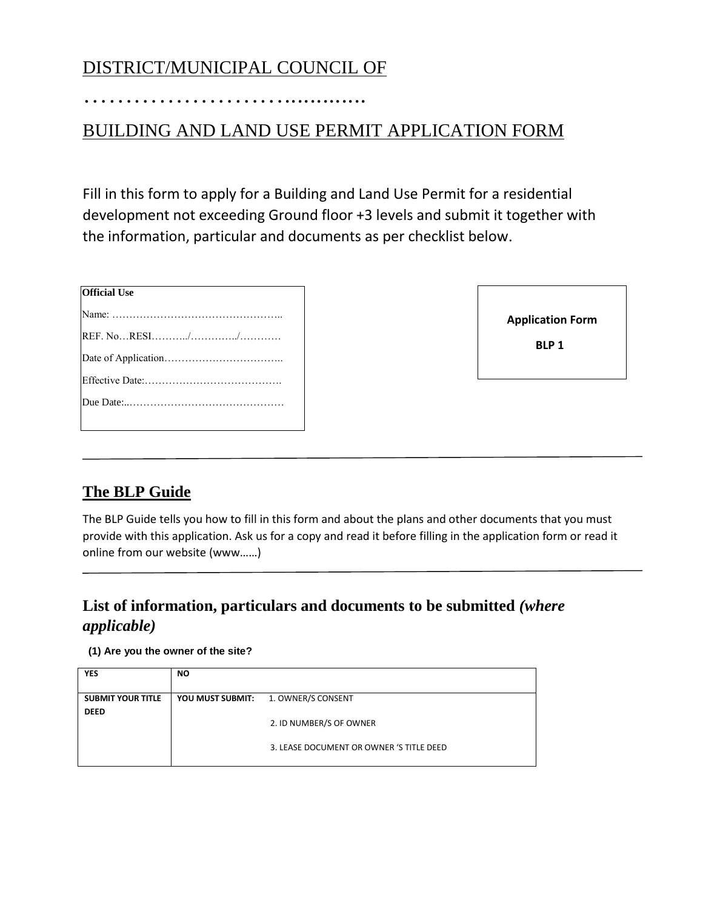## DISTRICT/MUNICIPAL COUNCIL OF

…………………….............

### BUILDING AND LAND USE PERMIT APPLICATION FORM

Fill in this form to apply for a Building and Land Use Permit for a residential development not exceeding Ground floor +3 levels and submit it together with the information, particular and documents as per checklist below.

| <b>Official Use</b> |
|---------------------|
|                     |
|                     |
|                     |
|                     |
|                     |
|                     |

| <b>Application Form</b> |  |
|-------------------------|--|
| <b>BLP1</b>             |  |

### **The BLP Guide**

The BLP Guide tells you how to fill in this form and about the plans and other documents that you must provide with this application. Ask us for a copy and read it before filling in the application form or read it online from our website (www……)

### **List of information, particulars and documents to be submitted** *(where applicable)*

### **(1) Are you the owner of the site?**

| <b>YES</b>               | <b>NO</b>        |                                          |
|--------------------------|------------------|------------------------------------------|
| <b>SUBMIT YOUR TITLE</b> | YOU MUST SUBMIT: | 1. OWNER/S CONSENT                       |
| <b>DEED</b>              |                  |                                          |
|                          |                  | 2. ID NUMBER/S OF OWNER                  |
|                          |                  | 3. LEASE DOCUMENT OR OWNER 'S TITLE DEED |
|                          |                  |                                          |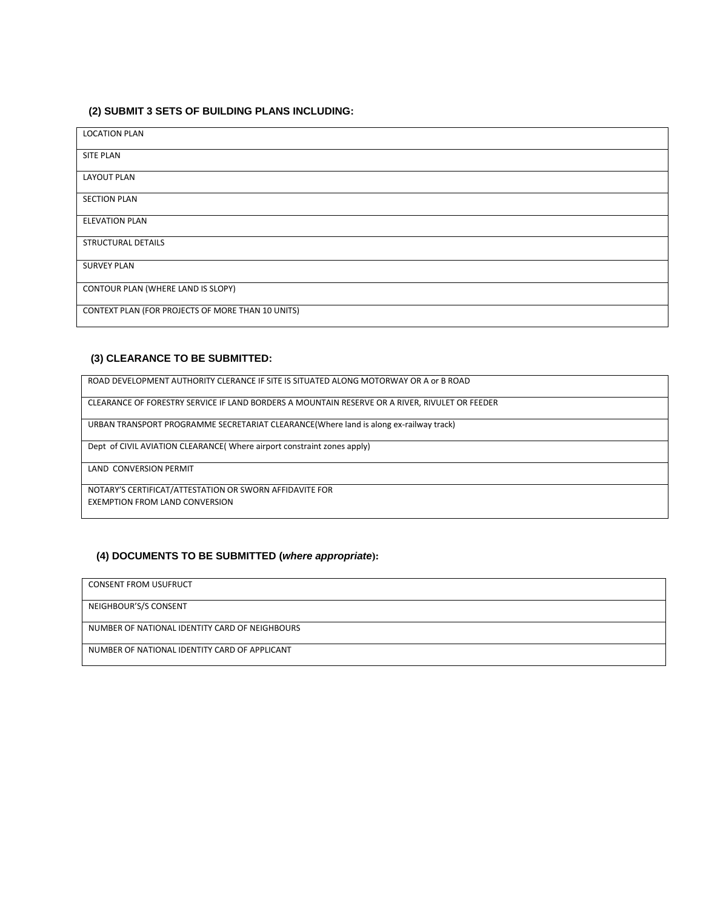#### **(2) SUBMIT 3 SETS OF BUILDING PLANS INCLUDING:**

| <b>LOCATION PLAN</b>                              |
|---------------------------------------------------|
| SITE PLAN                                         |
| <b>LAYOUT PLAN</b>                                |
| <b>SECTION PLAN</b>                               |
| <b>ELEVATION PLAN</b>                             |
| <b>STRUCTURAL DETAILS</b>                         |
| <b>SURVEY PLAN</b>                                |
| CONTOUR PLAN (WHERE LAND IS SLOPY)                |
| CONTEXT PLAN (FOR PROJECTS OF MORE THAN 10 UNITS) |

#### **(3) CLEARANCE TO BE SUBMITTED:**

ROAD DEVELOPMENT AUTHORITY CLERANCE IF SITE IS SITUATED ALONG MOTORWAY OR A or B ROAD

CLEARANCE OF FORESTRY SERVICE IF LAND BORDERS A MOUNTAIN RESERVE OR A RIVER, RIVULET OR FEEDER

URBAN TRANSPORT PROGRAMME SECRETARIAT CLEARANCE(Where land is along ex-railway track)

Dept of CIVIL AVIATION CLEARANCE( Where airport constraint zones apply)

LAND CONVERSION PERMIT

NOTARY'S CERTIFICAT/ATTESTATION OR SWORN AFFIDAVITE FOR EXEMPTION FROM LAND CONVERSION

#### **(4) DOCUMENTS TO BE SUBMITTED (***where appropriate***):**

CONSENT FROM USUFRUCT

NEIGHBOUR'S/S CONSENT

NUMBER OF NATIONAL IDENTITY CARD OF NEIGHBOURS

NUMBER OF NATIONAL IDENTITY CARD OF APPLICANT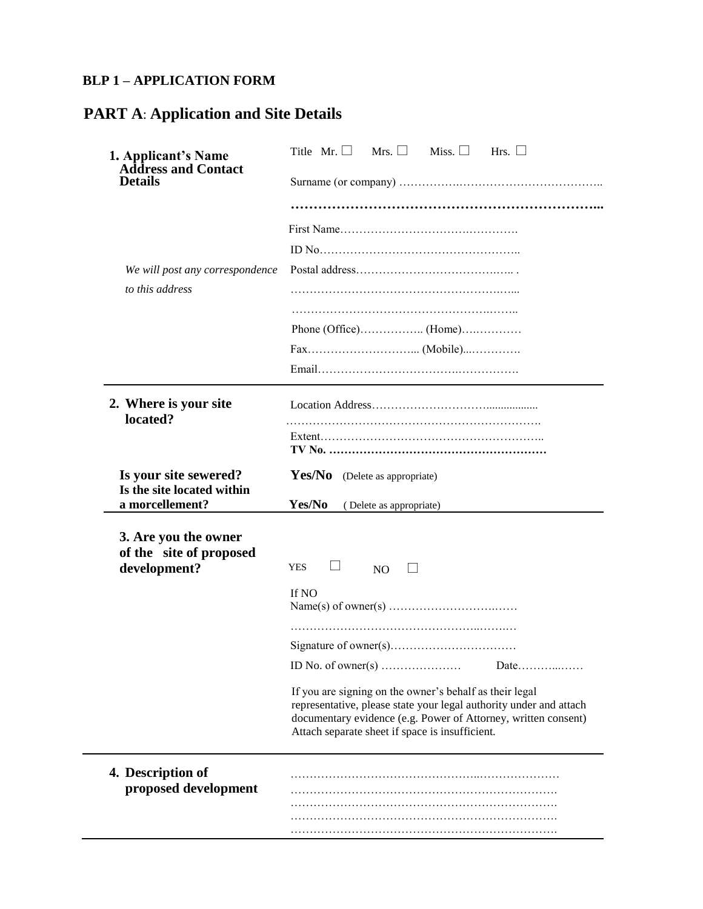### **BLP 1 – APPLICATION FORM**

# **PART A**: **Application and Site Details**

| 1. Applicant's Name<br><b>Address and Contact</b>   | Title Mr. $\Box$<br>Mrs. $\Box$<br>Miss. $\Box$<br>Hrs. $\Box$                                                                                                                                                                                     |
|-----------------------------------------------------|----------------------------------------------------------------------------------------------------------------------------------------------------------------------------------------------------------------------------------------------------|
| <b>Details</b>                                      |                                                                                                                                                                                                                                                    |
|                                                     |                                                                                                                                                                                                                                                    |
|                                                     |                                                                                                                                                                                                                                                    |
|                                                     |                                                                                                                                                                                                                                                    |
| We will post any correspondence                     |                                                                                                                                                                                                                                                    |
| to this address                                     |                                                                                                                                                                                                                                                    |
|                                                     |                                                                                                                                                                                                                                                    |
|                                                     |                                                                                                                                                                                                                                                    |
|                                                     |                                                                                                                                                                                                                                                    |
|                                                     |                                                                                                                                                                                                                                                    |
| 2. Where is your site<br>located?                   |                                                                                                                                                                                                                                                    |
|                                                     |                                                                                                                                                                                                                                                    |
| Is your site sewered?<br>Is the site located within | Yes/No (Delete as appropriate)                                                                                                                                                                                                                     |
|                                                     |                                                                                                                                                                                                                                                    |
| a morcellement?                                     | Yes/No<br>(Delete as appropriate)                                                                                                                                                                                                                  |
| 3. Are you the owner<br>of the site of proposed     |                                                                                                                                                                                                                                                    |
| development?                                        | $\Box$<br><b>YES</b><br>N <sub>O</sub>                                                                                                                                                                                                             |
|                                                     | If NO                                                                                                                                                                                                                                              |
|                                                     |                                                                                                                                                                                                                                                    |
|                                                     |                                                                                                                                                                                                                                                    |
|                                                     | ID No. of owner(s) $\dots$<br>Date                                                                                                                                                                                                                 |
|                                                     | If you are signing on the owner's behalf as their legal<br>representative, please state your legal authority under and attach<br>documentary evidence (e.g. Power of Attorney, written consent)<br>Attach separate sheet if space is insufficient. |
|                                                     |                                                                                                                                                                                                                                                    |
| 4. Description of<br>proposed development           |                                                                                                                                                                                                                                                    |
|                                                     |                                                                                                                                                                                                                                                    |